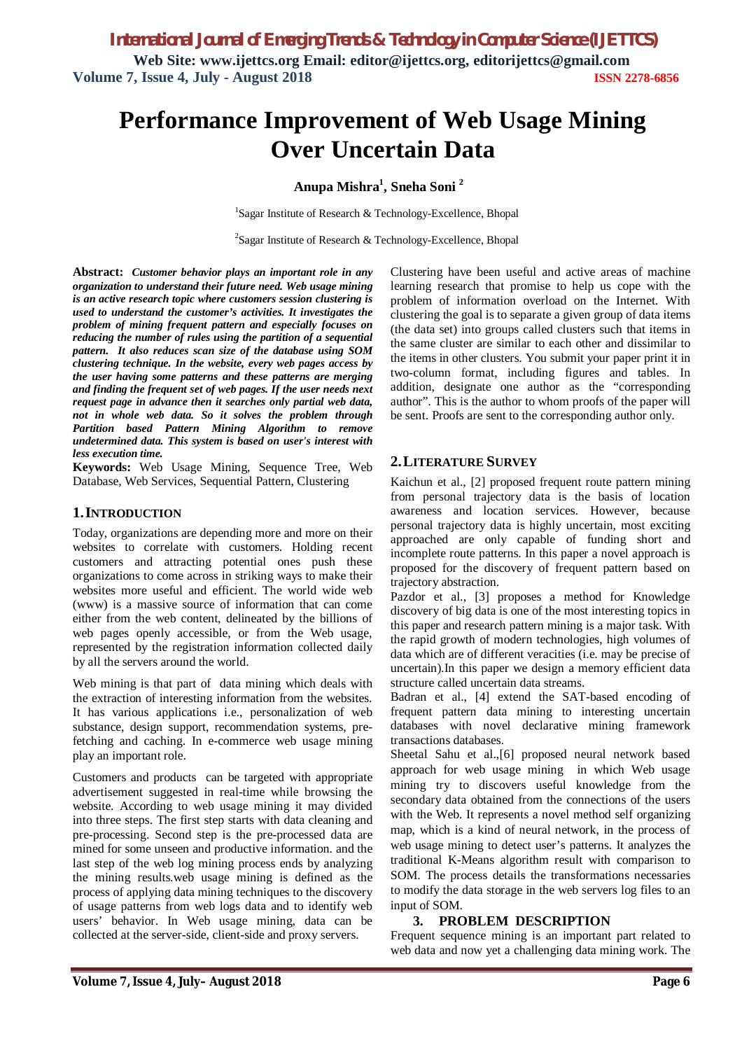*International Journal of Emerging Trends & Technology in Computer Science (IJETTCS)* **Web Site: www.ijettcs.org Email: editor@ijettcs.org, [editorijettcs@gmail.com](mailto:editorijettcs@gmail.com)  Volume 7, Issue 4, July - August 2018 ISSN 2278-6856**

# **Performance Improvement of Web Usage Mining Over Uncertain Data**

**Anupa Mishra<sup>1</sup> , Sneha Soni <sup>2</sup>**

<sup>1</sup>Sagar Institute of Research & Technology-Excellence, Bhopal

<sup>2</sup>Sagar Institute of Research & Technology-Excellence, Bhopal

**Abstract:** *Customer behavior plays an important role in any organization to understand their future need. Web usage mining is an active research topic where customers session clustering is used to understand the customer's activities. It investigates the problem of mining frequent pattern and especially focuses on reducing the number of rules using the partition of a sequential pattern. It also reduces scan size of the database using SOM clustering technique. In the website, every web pages access by the user having some patterns and these patterns are merging and finding the frequent set of web pages. If the user needs next request page in advance then it searches only partial web data, not in whole web data. So it solves the problem through Partition based Pattern Mining Algorithm to remove undetermined data. This system is based on user's interest with less execution time.*

**Keywords:** Web Usage Mining, Sequence Tree, Web Database, Web Services, Sequential Pattern, Clustering

#### **1.INTRODUCTION**

Today, organizations are depending more and more on their websites to correlate with customers. Holding recent customers and attracting potential ones push these organizations to come across in striking ways to make their websites more useful and efficient. The world wide web (www) is a massive source of information that can come either from the web content, delineated by the billions of web pages openly accessible, or from the Web usage, represented by the registration information collected daily by all the servers around the world.

Web mining is that part of data mining which deals with the extraction of interesting information from the websites. It has various applications i.e., personalization of web substance, design support, recommendation systems, prefetching and caching. In e-commerce web usage mining play an important role.

Customers and products can be targeted with appropriate advertisement suggested in real-time while browsing the website. According to web usage mining it may divided into three steps. The first step starts with data cleaning and pre-processing. Second step is the pre-processed data are mined for some unseen and productive information. and the last step of the web log mining process ends by analyzing the mining results.web usage mining is defined as the process of applying data mining techniques to the discovery of usage patterns from web logs data and to identify web users' behavior. In Web usage mining, data can be collected at the server-side, client-side and proxy servers.

Clustering have been useful and active areas of machine learning research that promise to help us cope with the problem of information overload on the Internet. With clustering the goal is to separate a given group of data items (the data set) into groups called clusters such that items in the same cluster are similar to each other and dissimilar to the items in other clusters. You submit your paper print it in two-column format, including figures and tables. In addition, designate one author as the "corresponding author". This is the author to whom proofs of the paper will be sent. Proofs are sent to the corresponding author only.

## **2.LITERATURE SURVEY**

Kaichun et al., [2] proposed frequent route pattern mining from personal trajectory data is the basis of location awareness and location services. However, because personal trajectory data is highly uncertain, most exciting approached are only capable of funding short and incomplete route patterns. In this paper a novel approach is proposed for the discovery of frequent pattern based on trajectory abstraction.

Pazdor et al., [3] proposes a method for Knowledge discovery of big data is one of the most interesting topics in this paper and research pattern mining is a major task. With the rapid growth of modern technologies, high volumes of data which are of different veracities (i.e. may be precise of uncertain).In this paper we design a memory efficient data structure called uncertain data streams.

Badran et al., [4] extend the SAT-based encoding of frequent pattern data mining to interesting uncertain databases with novel declarative mining framework transactions databases.

Sheetal Sahu et al.,[6] proposed neural network based approach for web usage mining in which Web usage mining try to discovers useful knowledge from the secondary data obtained from the connections of the users with the Web. It represents a novel method self organizing map, which is a kind of neural network, in the process of web usage mining to detect user's patterns. It analyzes the traditional K-Means algorithm result with comparison to SOM. The process details the transformations necessaries to modify the data storage in the web servers log files to an input of SOM.

#### **3. PROBLEM DESCRIPTION**

Frequent sequence mining is an important part related to web data and now yet a challenging data mining work. The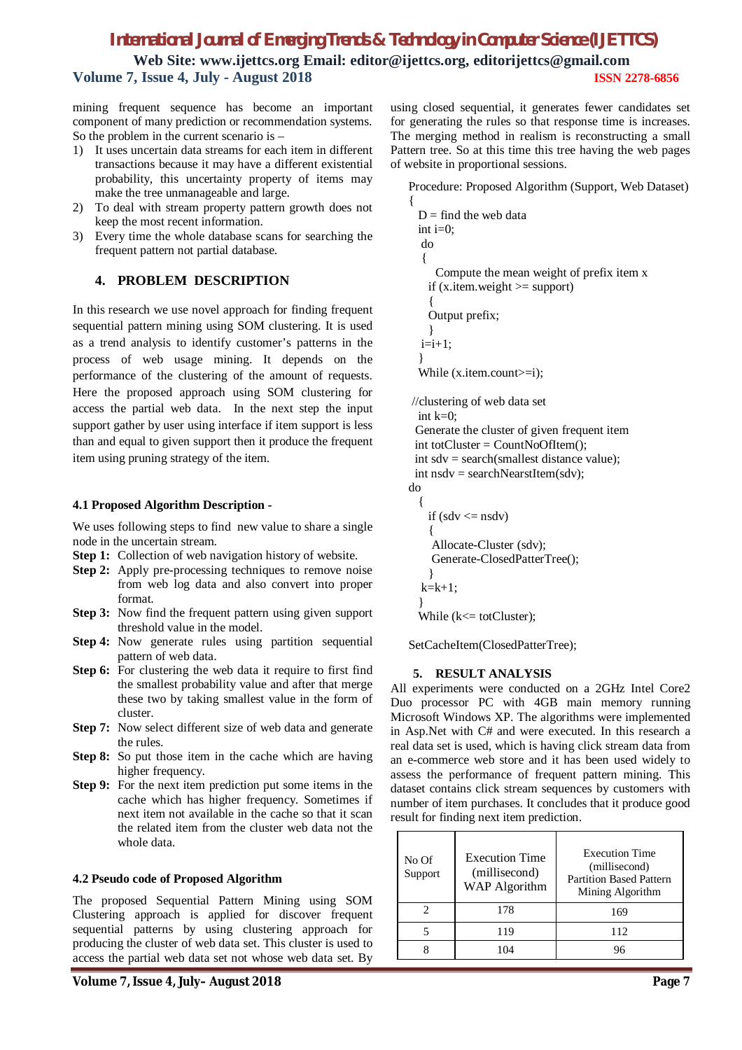# *International Journal of Emerging Trends & Technology in Computer Science (IJETTCS)*

**Web Site: www.ijettcs.org Email: editor@ijettcs.org, [editorijettcs@gmail.com](mailto:editorijettcs@gmail.com)  Volume 7, Issue 4, July - August 2018 ISSN 2278-6856**

mining frequent sequence has become an important component of many prediction or recommendation systems. So the problem in the current scenario is –

- 1) It uses uncertain data streams for each item in different transactions because it may have a different existential probability, this uncertainty property of items may make the tree unmanageable and large.
- 2) To deal with stream property pattern growth does not keep the most recent information.
- 3) Every time the whole database scans for searching the frequent pattern not partial database.

#### **4. PROBLEM DESCRIPTION**

In this research we use novel approach for finding frequent sequential pattern mining using SOM clustering. It is used as a trend analysis to identify customer's patterns in the process of web usage mining. It depends on the performance of the clustering of the amount of requests. Here the proposed approach using SOM clustering for access the partial web data. In the next step the input support gather by user using interface if item support is less than and equal to given support then it produce the frequent item using pruning strategy of the item.

#### **4.1 Proposed Algorithm Description -**

We uses following steps to find new value to share a single node in the uncertain stream.

- **Step 1:** Collection of web navigation history of website.
- **Step 2:** Apply pre-processing techniques to remove noise from web log data and also convert into proper format.
- **Step 3:** Now find the frequent pattern using given support threshold value in the model.
- **Step 4:** Now generate rules using partition sequential pattern of web data.
- **Step 6:** For clustering the web data it require to first find the smallest probability value and after that merge these two by taking smallest value in the form of cluster.
- **Step 7:** Now select different size of web data and generate the rules.
- **Step 8:** So put those item in the cache which are having higher frequency.
- **Step 9:** For the next item prediction put some items in the cache which has higher frequency. Sometimes if next item not available in the cache so that it scan the related item from the cluster web data not the whole data.

#### **4.2 Pseudo code of Proposed Algorithm**

The proposed Sequential Pattern Mining using SOM Clustering approach is applied for discover frequent sequential patterns by using clustering approach for producing the cluster of web data set. This cluster is used to access the partial web data set not whose web data set. By

using closed sequential, it generates fewer candidates set for generating the rules so that response time is increases. The merging method in realism is reconstructing a small Pattern tree. So at this time this tree having the web pages of website in proportional sessions.

Procedure: Proposed Algorithm (Support, Web Dataset) {

```
D = \text{find the web data}int i=0:
   do
   {
      Compute the mean weight of prefix item x
    if (x.item.weight >= support)
\overline{\phantom{a}}Output prefix; 
     }
  i=i+1:
 }
  While (x.item.count\rangle = i;
//clustering of web data set
 int k=0;
  Generate the cluster of given frequent item
  int totCluster = CountNoOfItem();
  int sdv = search(smallest distance value);
 int nsdv = searchNearstItem(sdv);
do 
 {
    if (sdv \leq nsdv)\overline{\phantom{a}} Allocate-Cluster (sdv);
      Generate-ClosedPatterTree();
 }
  k=k+1:
 }
  While (k \leq totCluster);
```
SetCacheItem(ClosedPatterTree);

#### **5. RESULT ANALYSIS**

All experiments were conducted on a 2GHz Intel Core2 Duo processor PC with 4GB main memory running Microsoft Windows XP. The algorithms were implemented in Asp.Net with C# and were executed. In this research a real data set is used, which is having click stream data from an e-commerce web store and it has been used widely to assess the performance of frequent pattern mining. This dataset contains click stream sequences by customers with number of item purchases. It concludes that it produce good result for finding next item prediction.

| No Of<br>Support | Execution Time<br>(millisecond)<br><b>WAP</b> Algorithm | <b>Execution Time</b><br>(millisecond)<br><b>Partition Based Pattern</b><br>Mining Algorithm |
|------------------|---------------------------------------------------------|----------------------------------------------------------------------------------------------|
|                  | 178                                                     | 169                                                                                          |
|                  | 119                                                     | 112                                                                                          |
|                  |                                                         | 96                                                                                           |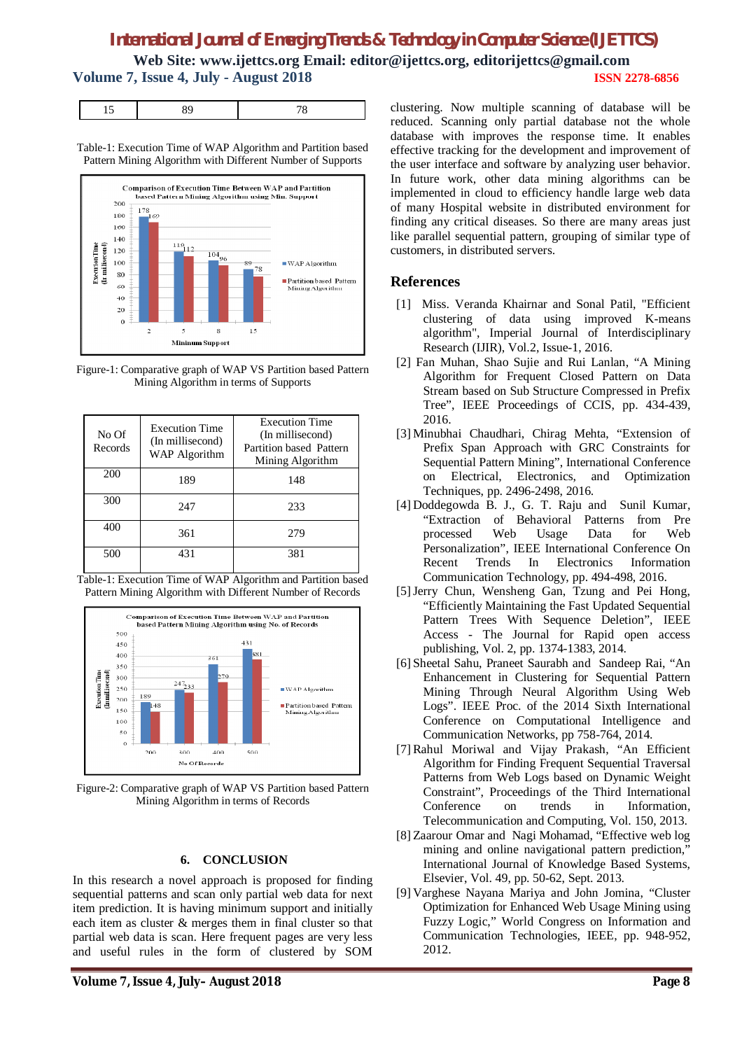# *International Journal of Emerging Trends & Technology in Computer Science (IJETTCS)*

**Web Site: www.ijettcs.org Email: editor@ijettcs.org, [editorijettcs@gmail.com](mailto:editorijettcs@gmail.com)  Volume 7, Issue 4, July - August 2018 ISSN 2278-6856**

|--|--|--|--|

Table-1: Execution Time of WAP Algorithm and Partition based Pattern Mining Algorithm with Different Number of Supports



Figure-1: Comparative graph of WAP VS Partition based Pattern Mining Algorithm in terms of Supports

| No Of<br>Records | <b>Execution Time</b><br>(In millisecond)<br>WAP Algorithm | <b>Execution Time</b><br>(In millisecond)<br>Partition based Pattern<br>Mining Algorithm |
|------------------|------------------------------------------------------------|------------------------------------------------------------------------------------------|
| 200              | 189                                                        | 148                                                                                      |
| 300              | 247                                                        | 233                                                                                      |
| 400              | 361                                                        | 279                                                                                      |
| 500              | 431                                                        | 381                                                                                      |

Table-1: Execution Time of WAP Algorithm and Partition based Pattern Mining Algorithm with Different Number of Records



Figure-2: Comparative graph of WAP VS Partition based Pattern Mining Algorithm in terms of Records

#### **6. CONCLUSION**

In this research a novel approach is proposed for finding sequential patterns and scan only partial web data for next item prediction. It is having minimum support and initially each item as cluster & merges them in final cluster so that partial web data is scan. Here frequent pages are very less and useful rules in the form of clustered by SOM

**Volume 7, Issue 4, July– August 2018 Page 8**

clustering. Now multiple scanning of database will be reduced. Scanning only partial database not the whole database with improves the response time. It enables effective tracking for the development and improvement of the user interface and software by analyzing user behavior. In future work, other data mining algorithms can be implemented in cloud to efficiency handle large web data of many Hospital website in distributed environment for finding any critical diseases. So there are many areas just like parallel sequential pattern, grouping of similar type of customers, in distributed servers.

## **References**

- [1] Miss. Veranda Khairnar and Sonal Patil, "Efficient clustering of data using improved K-means algorithm", Imperial Journal of Interdisciplinary Research (IJIR), Vol.2, Issue-1, 2016.
- [2] Fan Muhan, Shao Sujie and Rui Lanlan, "A Mining Algorithm for Frequent Closed Pattern on Data Stream based on Sub Structure Compressed in Prefix Tree", IEEE Proceedings of CCIS, pp. 434-439, 2016.
- [3] Minubhai Chaudhari, Chirag Mehta, "Extension of Prefix Span Approach with GRC Constraints for Sequential Pattern Mining", International Conference on Electrical, Electronics, and Optimization Techniques, pp. 2496-2498, 2016.
- [4] Doddegowda B. J., G. T. Raju and Sunil Kumar, "Extraction of Behavioral Patterns from Pre processed Web Usage Data for Web Personalization", IEEE International Conference On Recent Trends In Electronics Information Communication Technology, pp. 494-498, 2016.
- [5] Jerry Chun, Wensheng Gan, Tzung and Pei Hong, "Efficiently Maintaining the Fast Updated Sequential Pattern Trees With Sequence Deletion", IEEE Access - The Journal for Rapid open access publishing, Vol. 2, pp. 1374-1383, 2014.
- [6] Sheetal Sahu, Praneet Saurabh and Sandeep Rai, "An Enhancement in Clustering for Sequential Pattern Mining Through Neural Algorithm Using Web Logs". IEEE Proc. of the 2014 Sixth International Conference on Computational Intelligence and Communication Networks, pp 758-764, 2014.
- [7] Rahul Moriwal and Vijay Prakash, "An Efficient Algorithm for Finding Frequent Sequential Traversal Patterns from Web Logs based on Dynamic Weight Constraint", Proceedings of the Third International Conference on trends in Information, Telecommunication and Computing, Vol. 150, 2013.
- [8] Zaarour Omar and Nagi Mohamad, "Effective web log mining and online navigational pattern prediction," International Journal of Knowledge Based Systems, Elsevier, Vol. 49, pp. 50-62, Sept. 2013.
- [9] Varghese Nayana Mariya and John Jomina, "Cluster Optimization for Enhanced Web Usage Mining using Fuzzy Logic," World Congress on Information and Communication Technologies, IEEE, pp. 948-952, 2012.